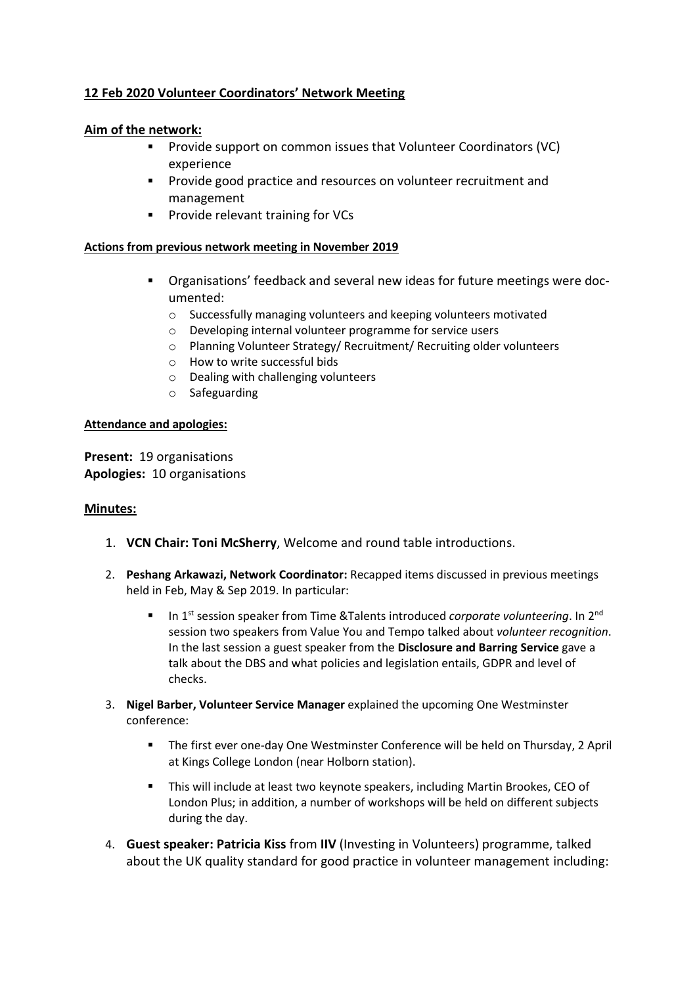# **12 Feb 2020 Volunteer Coordinators' Network Meeting**

# **Aim of the network:**

- Provide support on common issues that Volunteer Coordinators (VC) experience
- Provide good practice and resources on volunteer recruitment and management
- Provide relevant training for VCs

#### **Actions from previous network meeting in November 2019**

- Organisations' feedback and several new ideas for future meetings were documented:
	- o Successfully managing volunteers and keeping volunteers motivated
	- o Developing internal volunteer programme for service users
	- o Planning Volunteer Strategy/ Recruitment/ Recruiting older volunteers
	- o How to write successful bids
	- o Dealing with challenging volunteers
	- o Safeguarding

#### **Attendance and apologies:**

**Present:** 19 organisations **Apologies:** 10 organisations

#### **Minutes:**

- 1. **VCN Chair: Toni McSherry**, Welcome and round table introductions.
- 2. **Peshang Arkawazi, Network Coordinator:** Recapped items discussed in previous meetings held in Feb, May & Sep 2019. In particular:
	- In 1<sup>st</sup> session speaker from Time &Talents introduced *corporate volunteering*. In 2<sup>nd</sup> session two speakers from Value You and Tempo talked about *volunteer recognition*. In the last session a guest speaker from the **Disclosure and Barring Service** gave a talk about the DBS and what policies and legislation entails, GDPR and level of checks.
- 3. **Nigel Barber, Volunteer Service Manager** explained the upcoming One Westminster conference:
	- The first ever one-day One Westminster Conference will be held on Thursday, 2 April at Kings College London (near Holborn station).
	- This will include at least two keynote speakers, including Martin Brookes, CEO of London Plus; in addition, a number of workshops will be held on different subjects during the day.
- 4. **Guest speaker: Patricia Kiss** from **IIV** (Investing in Volunteers) programme, talked about the UK quality standard for good practice in volunteer management including: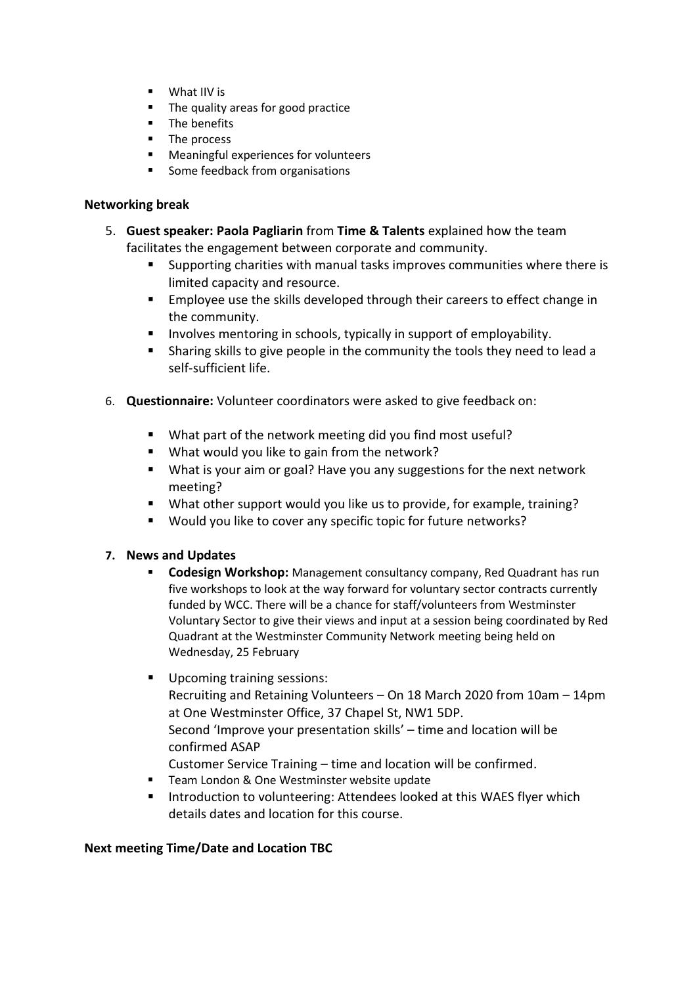- What IIV is
- The quality areas for good practice
- The benefits
- The process
- Meaningful experiences for volunteers
- Some feedback from organisations

# **Networking break**

- 5. **Guest speaker: Paola Pagliarin** from **Time & Talents** explained how the team facilitates the engagement between corporate and community.
	- Supporting charities with manual tasks improves communities where there is limited capacity and resource.
	- Employee use the skills developed through their careers to effect change in the community.
	- Involves mentoring in schools, typically in support of employability.
	- Sharing skills to give people in the community the tools they need to lead a self-sufficient life.
- 6. **Questionnaire:** Volunteer coordinators were asked to give feedback on:
	- What part of the network meeting did you find most useful?
	- What would you like to gain from the network?
	- What is your aim or goal? Have you any suggestions for the next network meeting?
	- What other support would you like us to provide, for example, training?
	- Would you like to cover any specific topic for future networks?

# **7. News and Updates**

- **Codesign Workshop:** Management consultancy company, Red Quadrant has run five workshops to look at the way forward for voluntary sector contracts currently funded by WCC. There will be a chance for staff/volunteers from Westminster Voluntary Sector to give their views and input at a session being coordinated by Red Quadrant at the Westminster Community Network meeting being held on Wednesday, 25 February
- Upcoming training sessions: Recruiting and Retaining Volunteers – On 18 March 2020 from 10am – 14pm at One Westminster Office, 37 Chapel St, NW1 5DP. Second 'Improve your presentation skills' – time and location will be confirmed ASAP Customer Service Training – time and location will be confirmed.
- Team London & One Westminster website update
- Introduction to volunteering: Attendees looked at this WAES flyer which details dates and location for this course.

# **Next meeting Time/Date and Location TBC**